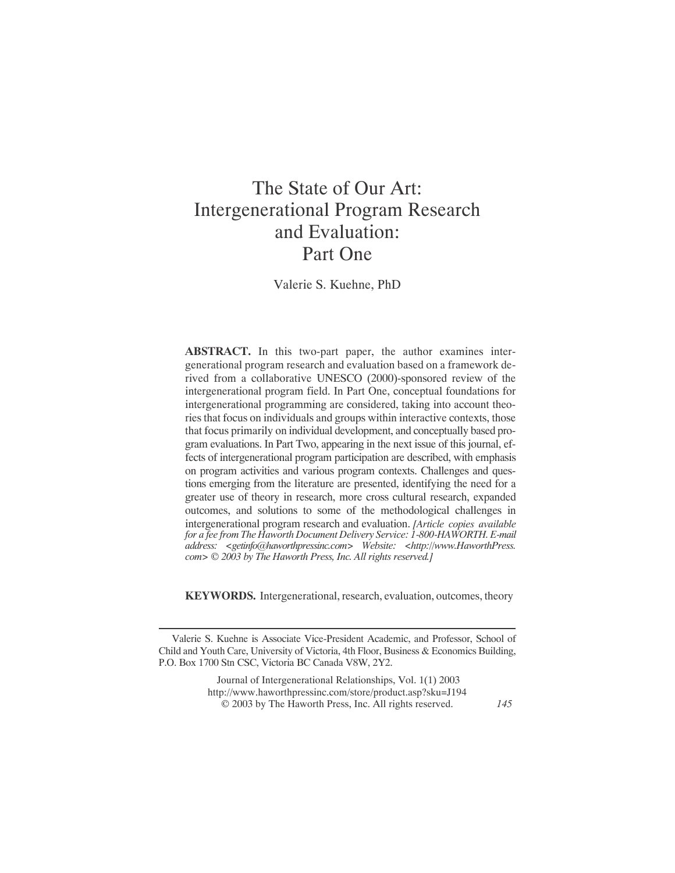# The State of Our Art: Intergenerational Program Research and Evaluation: Part One

Valerie S. Kuehne, PhD

**ABSTRACT.** In this two-part paper, the author examines intergenerational program research and evaluation based on a framework derived from a collaborative UNESCO (2000)-sponsored review of the intergenerational program field. In Part One, conceptual foundations for intergenerational programming are considered, taking into account theories that focus on individuals and groups within interactive contexts, those that focus primarily on individual development, and conceptually based program evaluations. In Part Two, appearing in the next issue of this journal, effects of intergenerational program participation are described, with emphasis on program activities and various program contexts. Challenges and questions emerging from the literature are presented, identifying the need for a greater use of theory in research, more cross cultural research, expanded outcomes, and solutions to some of the methodological challenges in intergenerational program research and evaluation. *[Article copies available for a fee from The Haworth Document Delivery Service: 1-800-HAWORTH. E-mail address: <getinfo@haworthpressinc.com> Website: [<http://www.HaworthPress.](http://www.HaworthPress) com> © 2003 by The Haworth Press, Inc. All rights reserved.]*

**KEYWORDS.** Intergenerational, research, evaluation, outcomes, theory

Journal of Intergenerational Relationships, Vol. 1(1) 2003 <http://www.haworthpressinc.com/store/product.asp?sku=J194> 2003 by The Haworth Press, Inc. All rights reserved. *145*

Valerie S. Kuehne is Associate Vice-President Academic, and Professor, School of Child and Youth Care, University of Victoria, 4th Floor, Business & Economics Building, P.O. Box 1700 Stn CSC, Victoria BC Canada V8W, 2Y2.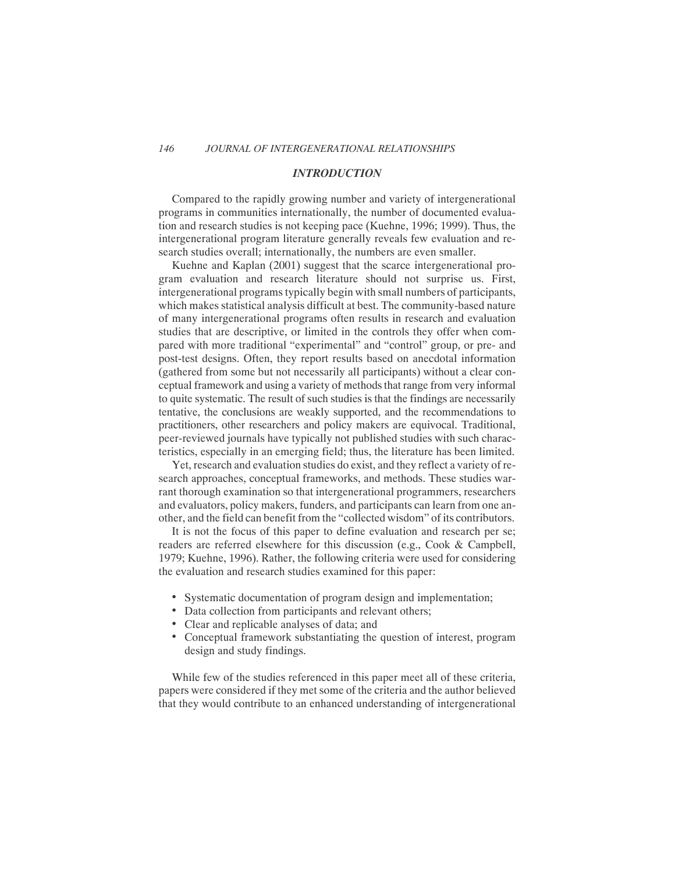#### *INTRODUCTION*

Compared to the rapidly growing number and variety of intergenerational programs in communities internationally, the number of documented evaluation and research studies is not keeping pace (Kuehne, 1996; 1999). Thus, the intergenerational program literature generally reveals few evaluation and research studies overall; internationally, the numbers are even smaller.

Kuehne and Kaplan (2001) suggest that the scarce intergenerational program evaluation and research literature should not surprise us. First, intergenerational programs typically begin with small numbers of participants, which makes statistical analysis difficult at best. The community-based nature of many intergenerational programs often results in research and evaluation studies that are descriptive, or limited in the controls they offer when compared with more traditional "experimental" and "control" group, or pre- and post-test designs. Often, they report results based on anecdotal information (gathered from some but not necessarily all participants) without a clear conceptual framework and using a variety of methods that range from very informal to quite systematic. The result of such studies is that the findings are necessarily tentative, the conclusions are weakly supported, and the recommendations to practitioners, other researchers and policy makers are equivocal. Traditional, peer-reviewed journals have typically not published studies with such characteristics, especially in an emerging field; thus, the literature has been limited.

Yet, research and evaluation studies do exist, and they reflect a variety of research approaches, conceptual frameworks, and methods. These studies warrant thorough examination so that intergenerational programmers, researchers and evaluators, policy makers, funders, and participants can learn from one another, and the field can benefit from the "collected wisdom" of its contributors.

It is not the focus of this paper to define evaluation and research per se; readers are referred elsewhere for this discussion (e.g., Cook & Campbell, 1979; Kuehne, 1996). Rather, the following criteria were used for considering the evaluation and research studies examined for this paper:

- Systematic documentation of program design and implementation;
- Data collection from participants and relevant others;
- Clear and replicable analyses of data; and
- Conceptual framework substantiating the question of interest, program design and study findings.

While few of the studies referenced in this paper meet all of these criteria, papers were considered if they met some of the criteria and the author believed that they would contribute to an enhanced understanding of intergenerational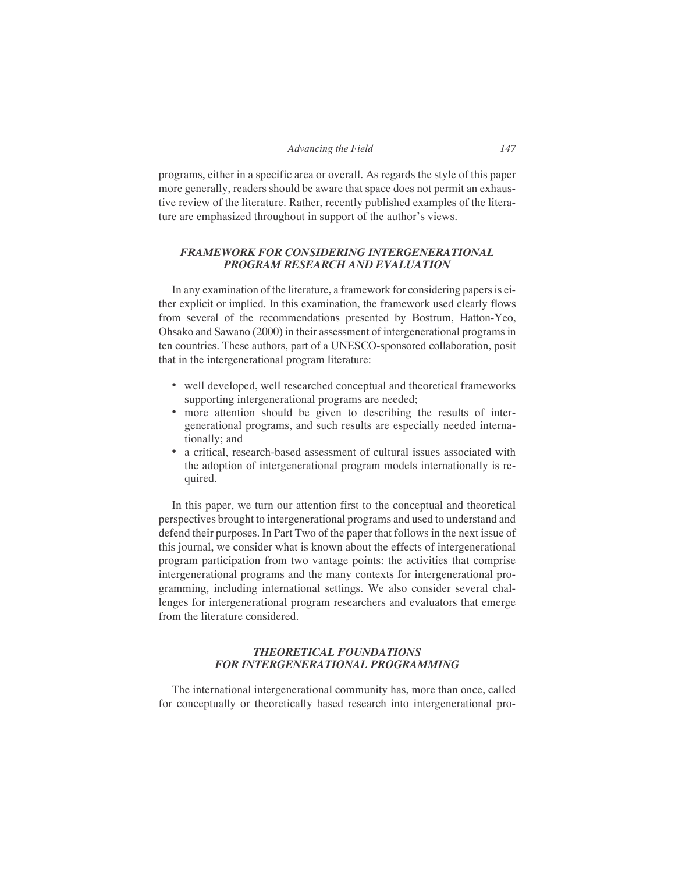| Advancing the Field |  |
|---------------------|--|
|---------------------|--|

programs, either in a specific area or overall. As regards the style of this paper more generally, readers should be aware that space does not permit an exhaustive review of the literature. Rather, recently published examples of the literature are emphasized throughout in support of the author's views.

# *FRAMEWORK FOR CONSIDERING INTERGENERATIONAL PROGRAM RESEARCH AND EVALUATION*

In any examination of the literature, a framework for considering papers is either explicit or implied. In this examination, the framework used clearly flows from several of the recommendations presented by Bostrum, Hatton-Yeo, Ohsako and Sawano (2000) in their assessment of intergenerational programs in ten countries. These authors, part of a UNESCO-sponsored collaboration, posit that in the intergenerational program literature:

- well developed, well researched conceptual and theoretical frameworks supporting intergenerational programs are needed;
- more attention should be given to describing the results of intergenerational programs, and such results are especially needed internationally; and
- a critical, research-based assessment of cultural issues associated with the adoption of intergenerational program models internationally is required.

In this paper, we turn our attention first to the conceptual and theoretical perspectives brought to intergenerational programs and used to understand and defend their purposes. In Part Two of the paper that follows in the next issue of this journal, we consider what is known about the effects of intergenerational program participation from two vantage points: the activities that comprise intergenerational programs and the many contexts for intergenerational programming, including international settings. We also consider several challenges for intergenerational program researchers and evaluators that emerge from the literature considered.

# *THEORETICAL FOUNDATIONS FOR INTERGENERATIONAL PROGRAMMING*

The international intergenerational community has, more than once, called for conceptually or theoretically based research into intergenerational pro-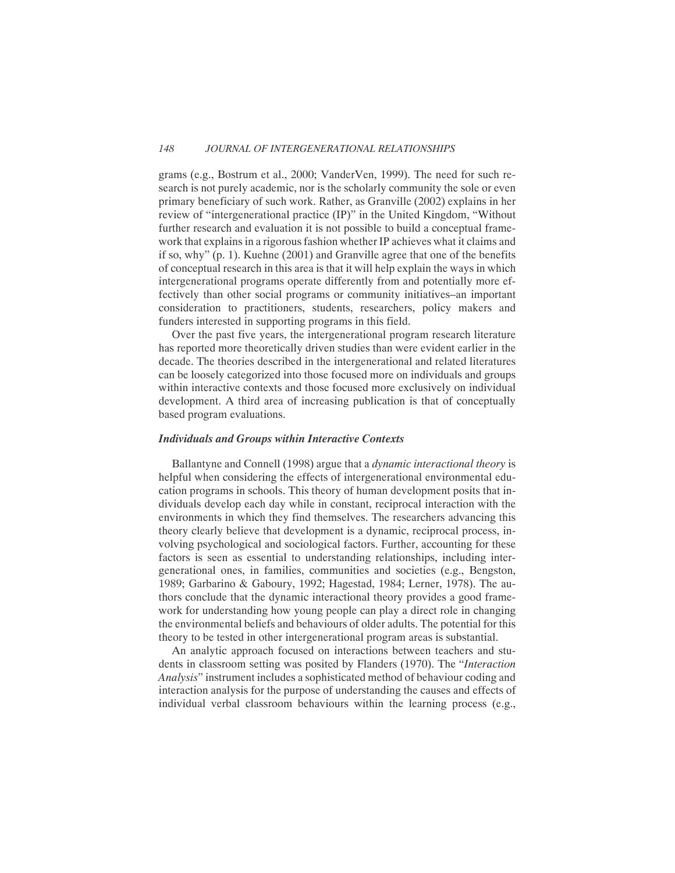grams (e.g., Bostrum et al., 2000; VanderVen, 1999). The need for such research is not purely academic, nor is the scholarly community the sole or even primary beneficiary of such work. Rather, as Granville (2002) explains in her review of "intergenerational practice (IP)" in the United Kingdom, "Without further research and evaluation it is not possible to build a conceptual framework that explains in a rigorous fashion whether IP achieves what it claims and if so, why" (p. 1). Kuehne (2001) and Granville agree that one of the benefits of conceptual research in this area is that it will help explain the ways in which intergenerational programs operate differently from and potentially more effectively than other social programs or community initiatives–an important consideration to practitioners, students, researchers, policy makers and funders interested in supporting programs in this field.

Over the past five years, the intergenerational program research literature has reported more theoretically driven studies than were evident earlier in the decade. The theories described in the intergenerational and related literatures can be loosely categorized into those focused more on individuals and groups within interactive contexts and those focused more exclusively on individual development. A third area of increasing publication is that of conceptually based program evaluations.

#### *Individuals and Groups within Interactive Contexts*

Ballantyne and Connell (1998) argue that a *dynamic interactional theory* is helpful when considering the effects of intergenerational environmental education programs in schools. This theory of human development posits that individuals develop each day while in constant, reciprocal interaction with the environments in which they find themselves. The researchers advancing this theory clearly believe that development is a dynamic, reciprocal process, involving psychological and sociological factors. Further, accounting for these factors is seen as essential to understanding relationships, including intergenerational ones, in families, communities and societies (e.g., Bengston, 1989; Garbarino & Gaboury, 1992; Hagestad, 1984; Lerner, 1978). The authors conclude that the dynamic interactional theory provides a good framework for understanding how young people can play a direct role in changing the environmental beliefs and behaviours of older adults. The potential for this theory to be tested in other intergenerational program areas is substantial.

An analytic approach focused on interactions between teachers and students in classroom setting was posited by Flanders (1970). The "*Interaction Analysis*" instrument includes a sophisticated method of behaviour coding and interaction analysis for the purpose of understanding the causes and effects of individual verbal classroom behaviours within the learning process (e.g.,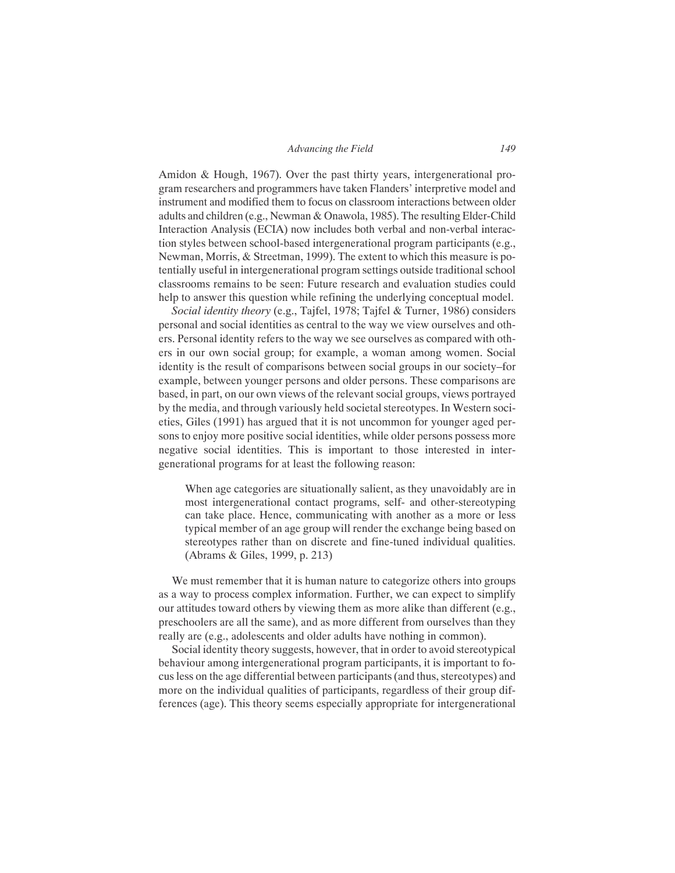Amidon & Hough, 1967). Over the past thirty years, intergenerational program researchers and programmers have taken Flanders' interpretive model and instrument and modified them to focus on classroom interactions between older adults and children (e.g., Newman & Onawola, 1985). The resulting Elder-Child Interaction Analysis (ECIA) now includes both verbal and non-verbal interaction styles between school-based intergenerational program participants (e.g., Newman, Morris, & Streetman, 1999). The extent to which this measure is potentially useful in intergenerational program settings outside traditional school classrooms remains to be seen: Future research and evaluation studies could help to answer this question while refining the underlying conceptual model.

*Social identity theory* (e.g., Tajfel, 1978; Tajfel & Turner, 1986) considers personal and social identities as central to the way we view ourselves and others. Personal identity refers to the way we see ourselves as compared with others in our own social group; for example, a woman among women. Social identity is the result of comparisons between social groups in our society–for example, between younger persons and older persons. These comparisons are based, in part, on our own views of the relevant social groups, views portrayed by the media, and through variously held societal stereotypes. In Western societies, Giles (1991) has argued that it is not uncommon for younger aged persons to enjoy more positive social identities, while older persons possess more negative social identities. This is important to those interested in intergenerational programs for at least the following reason:

When age categories are situationally salient, as they unavoidably are in most intergenerational contact programs, self- and other-stereotyping can take place. Hence, communicating with another as a more or less typical member of an age group will render the exchange being based on stereotypes rather than on discrete and fine-tuned individual qualities. (Abrams & Giles, 1999, p. 213)

We must remember that it is human nature to categorize others into groups as a way to process complex information. Further, we can expect to simplify our attitudes toward others by viewing them as more alike than different (e.g., preschoolers are all the same), and as more different from ourselves than they really are (e.g., adolescents and older adults have nothing in common).

Social identity theory suggests, however, that in order to avoid stereotypical behaviour among intergenerational program participants, it is important to focus less on the age differential between participants (and thus, stereotypes) and more on the individual qualities of participants, regardless of their group differences (age). This theory seems especially appropriate for intergenerational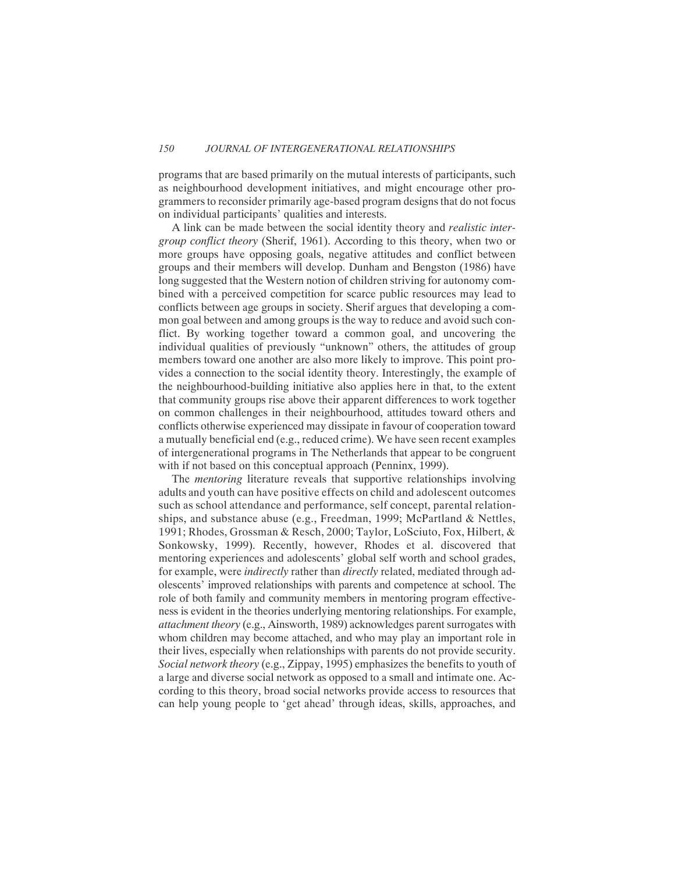programs that are based primarily on the mutual interests of participants, such as neighbourhood development initiatives, and might encourage other programmers to reconsider primarily age-based program designs that do not focus on individual participants' qualities and interests.

A link can be made between the social identity theory and *realistic intergroup conflict theory* (Sherif, 1961). According to this theory, when two or more groups have opposing goals, negative attitudes and conflict between groups and their members will develop. Dunham and Bengston (1986) have long suggested that the Western notion of children striving for autonomy combined with a perceived competition for scarce public resources may lead to conflicts between age groups in society. Sherif argues that developing a common goal between and among groups is the way to reduce and avoid such conflict. By working together toward a common goal, and uncovering the individual qualities of previously "unknown" others, the attitudes of group members toward one another are also more likely to improve. This point provides a connection to the social identity theory. Interestingly, the example of the neighbourhood-building initiative also applies here in that, to the extent that community groups rise above their apparent differences to work together on common challenges in their neighbourhood, attitudes toward others and conflicts otherwise experienced may dissipate in favour of cooperation toward a mutually beneficial end (e.g., reduced crime). We have seen recent examples of intergenerational programs in The Netherlands that appear to be congruent with if not based on this conceptual approach (Penninx, 1999).

The *mentoring* literature reveals that supportive relationships involving adults and youth can have positive effects on child and adolescent outcomes such as school attendance and performance, self concept, parental relationships, and substance abuse (e.g., Freedman, 1999; McPartland & Nettles, 1991; Rhodes, Grossman & Resch, 2000; Taylor, LoSciuto, Fox, Hilbert, & Sonkowsky, 1999). Recently, however, Rhodes et al. discovered that mentoring experiences and adolescents' global self worth and school grades, for example, were *indirectly* rather than *directly* related, mediated through adolescents' improved relationships with parents and competence at school. The role of both family and community members in mentoring program effectiveness is evident in the theories underlying mentoring relationships. For example, *attachment theory* (e.g., Ainsworth, 1989) acknowledges parent surrogates with whom children may become attached, and who may play an important role in their lives, especially when relationships with parents do not provide security. *Social network theory* (e.g., Zippay, 1995) emphasizes the benefits to youth of a large and diverse social network as opposed to a small and intimate one. According to this theory, broad social networks provide access to resources that can help young people to 'get ahead' through ideas, skills, approaches, and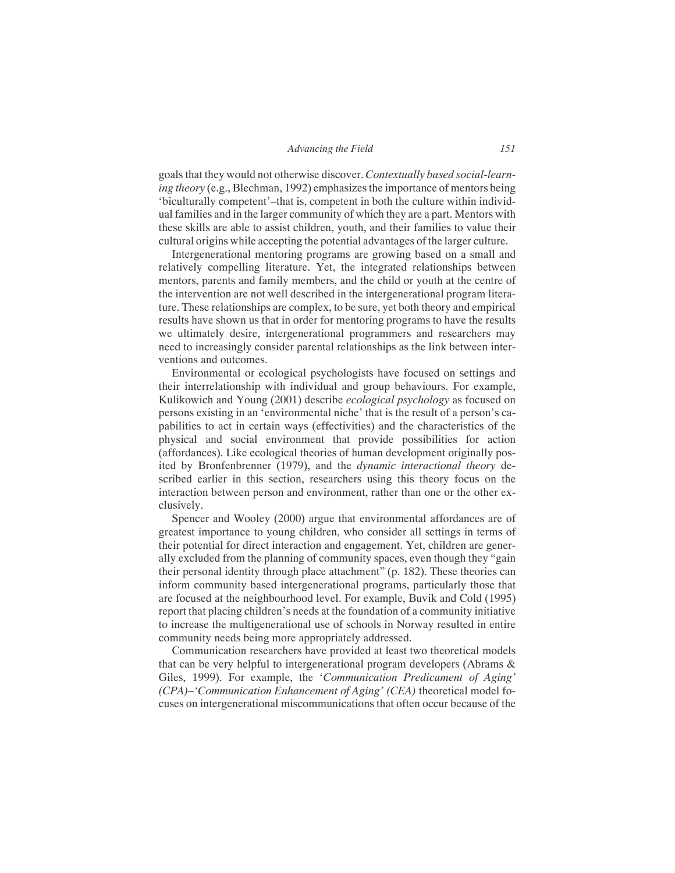goals that they would not otherwise discover. *Contextually based social-learning theory* (e.g., Blechman, 1992) emphasizes the importance of mentors being 'biculturally competent'–that is, competent in both the culture within individual families and in the larger community of which they are a part. Mentors with these skills are able to assist children, youth, and their families to value their cultural origins while accepting the potential advantages of the larger culture.

Intergenerational mentoring programs are growing based on a small and relatively compelling literature. Yet, the integrated relationships between mentors, parents and family members, and the child or youth at the centre of the intervention are not well described in the intergenerational program literature. These relationships are complex, to be sure, yet both theory and empirical results have shown us that in order for mentoring programs to have the results we ultimately desire, intergenerational programmers and researchers may need to increasingly consider parental relationships as the link between interventions and outcomes.

Environmental or ecological psychologists have focused on settings and their interrelationship with individual and group behaviours. For example, Kulikowich and Young (2001) describe *ecological psychology* as focused on persons existing in an 'environmental niche' that is the result of a person's capabilities to act in certain ways (effectivities) and the characteristics of the physical and social environment that provide possibilities for action (affordances). Like ecological theories of human development originally posited by Bronfenbrenner (1979), and the *dynamic interactional theory* described earlier in this section, researchers using this theory focus on the interaction between person and environment, rather than one or the other exclusively.

Spencer and Wooley (2000) argue that environmental affordances are of greatest importance to young children, who consider all settings in terms of their potential for direct interaction and engagement. Yet, children are generally excluded from the planning of community spaces, even though they "gain their personal identity through place attachment" (p. 182). These theories can inform community based intergenerational programs, particularly those that are focused at the neighbourhood level. For example, Buvik and Cold (1995) report that placing children's needs at the foundation of a community initiative to increase the multigenerational use of schools in Norway resulted in entire community needs being more appropriately addressed.

Communication researchers have provided at least two theoretical models that can be very helpful to intergenerational program developers (Abrams & Giles, 1999). For example, the '*Communication Predicament of Aging' (CPA)–'Communication Enhancement of Aging' (CEA)* theoretical model focuses on intergenerational miscommunications that often occur because of the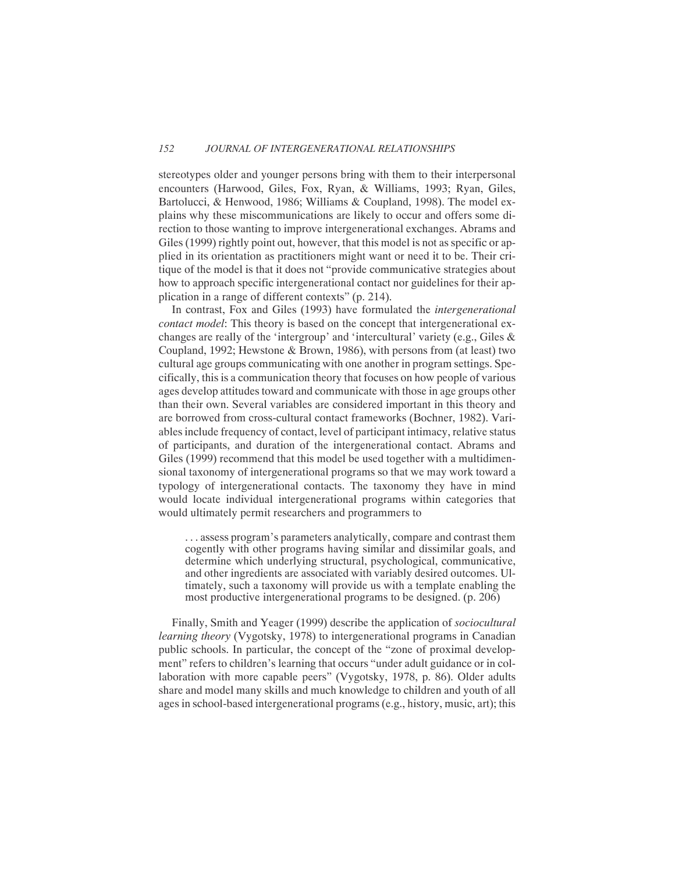stereotypes older and younger persons bring with them to their interpersonal encounters (Harwood, Giles, Fox, Ryan, & Williams, 1993; Ryan, Giles, Bartolucci, & Henwood, 1986; Williams & Coupland, 1998). The model explains why these miscommunications are likely to occur and offers some direction to those wanting to improve intergenerational exchanges. Abrams and Giles (1999) rightly point out, however, that this model is not as specific or applied in its orientation as practitioners might want or need it to be. Their critique of the model is that it does not "provide communicative strategies about how to approach specific intergenerational contact nor guidelines for their application in a range of different contexts" (p. 214).

In contrast, Fox and Giles (1993) have formulated the *intergenerational contact model*: This theory is based on the concept that intergenerational exchanges are really of the 'intergroup' and 'intercultural' variety (e.g., Giles & Coupland, 1992; Hewstone & Brown, 1986), with persons from (at least) two cultural age groups communicating with one another in program settings. Specifically, this is a communication theory that focuses on how people of various ages develop attitudes toward and communicate with those in age groups other than their own. Several variables are considered important in this theory and are borrowed from cross-cultural contact frameworks (Bochner, 1982). Variables include frequency of contact, level of participant intimacy, relative status of participants, and duration of the intergenerational contact. Abrams and Giles (1999) recommend that this model be used together with a multidimensional taxonomy of intergenerational programs so that we may work toward a typology of intergenerational contacts. The taxonomy they have in mind would locate individual intergenerational programs within categories that would ultimately permit researchers and programmers to

. . . assess program's parameters analytically, compare and contrast them cogently with other programs having similar and dissimilar goals, and determine which underlying structural, psychological, communicative, and other ingredients are associated with variably desired outcomes. Ultimately, such a taxonomy will provide us with a template enabling the most productive intergenerational programs to be designed. (p. 206)

Finally, Smith and Yeager (1999) describe the application of *sociocultural learning theory* (Vygotsky, 1978) to intergenerational programs in Canadian public schools. In particular, the concept of the "zone of proximal development" refers to children's learning that occurs "under adult guidance or in collaboration with more capable peers" (Vygotsky, 1978, p. 86). Older adults share and model many skills and much knowledge to children and youth of all ages in school-based intergenerational programs (e.g., history, music, art); this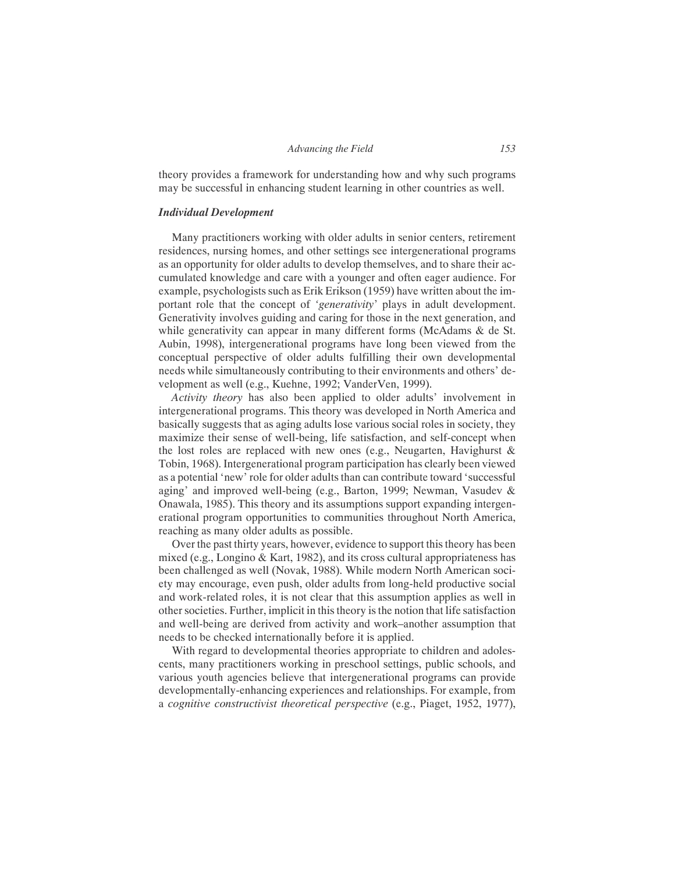theory provides a framework for understanding how and why such programs may be successful in enhancing student learning in other countries as well.

# *Individual Development*

Many practitioners working with older adults in senior centers, retirement residences, nursing homes, and other settings see intergenerational programs as an opportunity for older adults to develop themselves, and to share their accumulated knowledge and care with a younger and often eager audience. For example, psychologists such as Erik Erikson (1959) have written about the important role that the concept of *'generativity*' plays in adult development. Generativity involves guiding and caring for those in the next generation, and while generativity can appear in many different forms (McAdams & de St. Aubin, 1998), intergenerational programs have long been viewed from the conceptual perspective of older adults fulfilling their own developmental needs while simultaneously contributing to their environments and others' development as well (e.g., Kuehne, 1992; VanderVen, 1999).

*Activity theory* has also been applied to older adults' involvement in intergenerational programs. This theory was developed in North America and basically suggests that as aging adults lose various social roles in society, they maximize their sense of well-being, life satisfaction, and self-concept when the lost roles are replaced with new ones (e.g., Neugarten, Havighurst  $\&$ Tobin, 1968). Intergenerational program participation has clearly been viewed as a potential 'new' role for older adults than can contribute toward 'successful aging' and improved well-being (e.g., Barton, 1999; Newman, Vasudev & Onawala, 1985). This theory and its assumptions support expanding intergenerational program opportunities to communities throughout North America, reaching as many older adults as possible.

Over the past thirty years, however, evidence to support this theory has been mixed (e.g., Longino & Kart, 1982), and its cross cultural appropriateness has been challenged as well (Novak, 1988). While modern North American society may encourage, even push, older adults from long-held productive social and work-related roles, it is not clear that this assumption applies as well in other societies. Further, implicit in this theory is the notion that life satisfaction and well-being are derived from activity and work–another assumption that needs to be checked internationally before it is applied.

With regard to developmental theories appropriate to children and adolescents, many practitioners working in preschool settings, public schools, and various youth agencies believe that intergenerational programs can provide developmentally-enhancing experiences and relationships. For example, from a *cognitive constructivist theoretical perspective* (e.g., Piaget, 1952, 1977),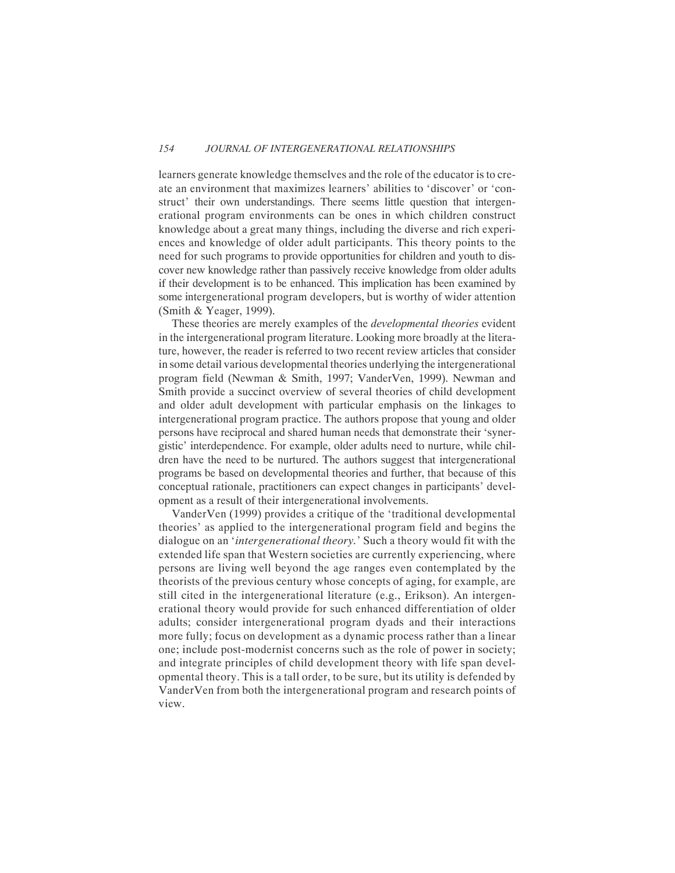learners generate knowledge themselves and the role of the educator is to create an environment that maximizes learners' abilities to 'discover' or 'construct' their own understandings. There seems little question that intergenerational program environments can be ones in which children construct knowledge about a great many things, including the diverse and rich experiences and knowledge of older adult participants. This theory points to the need for such programs to provide opportunities for children and youth to discover new knowledge rather than passively receive knowledge from older adults if their development is to be enhanced. This implication has been examined by some intergenerational program developers, but is worthy of wider attention (Smith & Yeager, 1999).

These theories are merely examples of the *developmental theories* evident in the intergenerational program literature. Looking more broadly at the literature, however, the reader is referred to two recent review articles that consider in some detail various developmental theories underlying the intergenerational program field (Newman & Smith, 1997; VanderVen, 1999). Newman and Smith provide a succinct overview of several theories of child development and older adult development with particular emphasis on the linkages to intergenerational program practice. The authors propose that young and older persons have reciprocal and shared human needs that demonstrate their 'synergistic' interdependence. For example, older adults need to nurture, while children have the need to be nurtured. The authors suggest that intergenerational programs be based on developmental theories and further, that because of this conceptual rationale, practitioners can expect changes in participants' development as a result of their intergenerational involvements.

VanderVen (1999) provides a critique of the 'traditional developmental theories' as applied to the intergenerational program field and begins the dialogue on an '*intergenerational theory.*' Such a theory would fit with the extended life span that Western societies are currently experiencing, where persons are living well beyond the age ranges even contemplated by the theorists of the previous century whose concepts of aging, for example, are still cited in the intergenerational literature (e.g., Erikson). An intergenerational theory would provide for such enhanced differentiation of older adults; consider intergenerational program dyads and their interactions more fully; focus on development as a dynamic process rather than a linear one; include post-modernist concerns such as the role of power in society; and integrate principles of child development theory with life span developmental theory. This is a tall order, to be sure, but its utility is defended by VanderVen from both the intergenerational program and research points of view.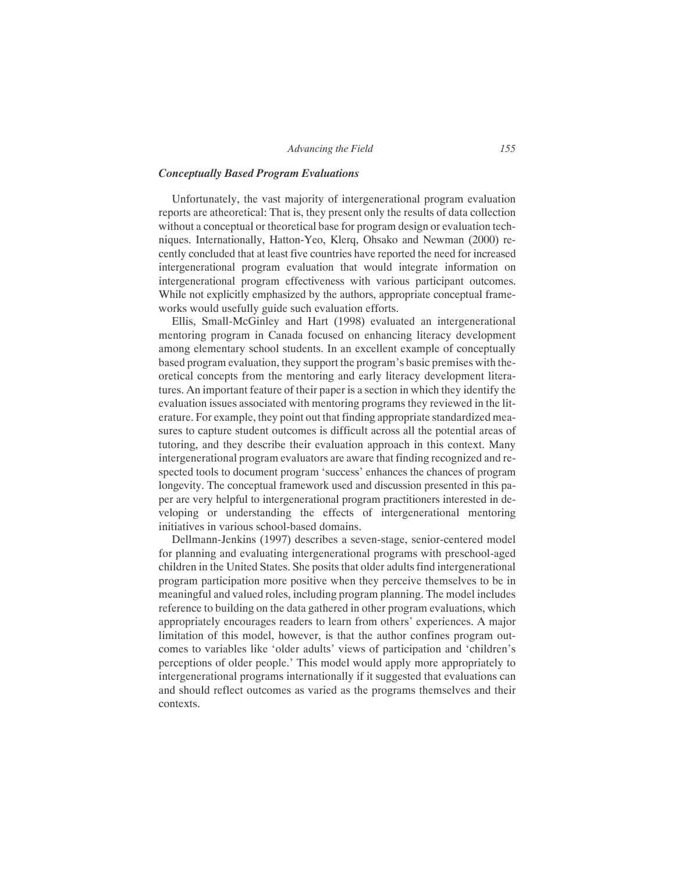#### *Conceptually Based Program Evaluations*

Unfortunately, the vast majority of intergenerational program evaluation reports are atheoretical: That is, they present only the results of data collection without a conceptual or theoretical base for program design or evaluation techniques. Internationally, Hatton-Yeo, Klerq, Ohsako and Newman (2000) recently concluded that at least five countries have reported the need for increased intergenerational program evaluation that would integrate information on intergenerational program effectiveness with various participant outcomes. While not explicitly emphasized by the authors, appropriate conceptual frameworks would usefully guide such evaluation efforts.

Ellis, Small-McGinley and Hart (1998) evaluated an intergenerational mentoring program in Canada focused on enhancing literacy development among elementary school students. In an excellent example of conceptually based program evaluation, they support the program's basic premises with theoretical concepts from the mentoring and early literacy development literatures. An important feature of their paper is a section in which they identify the evaluation issues associated with mentoring programs they reviewed in the literature. For example, they point out that finding appropriate standardized measures to capture student outcomes is difficult across all the potential areas of tutoring, and they describe their evaluation approach in this context. Many intergenerational program evaluators are aware that finding recognized and respected tools to document program 'success' enhances the chances of program longevity. The conceptual framework used and discussion presented in this paper are very helpful to intergenerational program practitioners interested in developing or understanding the effects of intergenerational mentoring initiatives in various school-based domains.

Dellmann-Jenkins (1997) describes a seven-stage, senior-centered model for planning and evaluating intergenerational programs with preschool-aged children in the United States. She posits that older adults find intergenerational program participation more positive when they perceive themselves to be in meaningful and valued roles, including program planning. The model includes reference to building on the data gathered in other program evaluations, which appropriately encourages readers to learn from others' experiences. A major limitation of this model, however, is that the author confines program outcomes to variables like 'older adults' views of participation and 'children's perceptions of older people.' This model would apply more appropriately to intergenerational programs internationally if it suggested that evaluations can and should reflect outcomes as varied as the programs themselves and their contexts.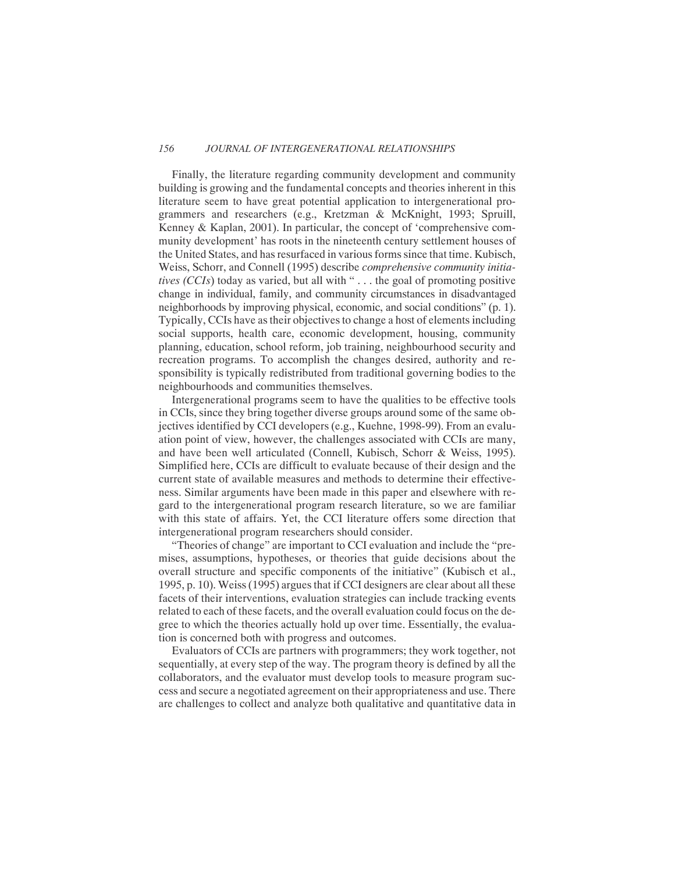Finally, the literature regarding community development and community building is growing and the fundamental concepts and theories inherent in this literature seem to have great potential application to intergenerational programmers and researchers (e.g., Kretzman & McKnight, 1993; Spruill, Kenney & Kaplan, 2001). In particular, the concept of 'comprehensive community development' has roots in the nineteenth century settlement houses of the United States, and has resurfaced in various forms since that time. Kubisch, Weiss, Schorr, and Connell (1995) describe *comprehensive community initiatives (CCIs*) today as varied, but all with " . . . the goal of promoting positive change in individual, family, and community circumstances in disadvantaged neighborhoods by improving physical, economic, and social conditions" (p. 1). Typically, CCIs have as their objectives to change a host of elements including social supports, health care, economic development, housing, community planning, education, school reform, job training, neighbourhood security and recreation programs. To accomplish the changes desired, authority and responsibility is typically redistributed from traditional governing bodies to the neighbourhoods and communities themselves.

Intergenerational programs seem to have the qualities to be effective tools in CCIs, since they bring together diverse groups around some of the same objectives identified by CCI developers (e.g., Kuehne, 1998-99). From an evaluation point of view, however, the challenges associated with CCIs are many, and have been well articulated (Connell, Kubisch, Schorr & Weiss, 1995). Simplified here, CCIs are difficult to evaluate because of their design and the current state of available measures and methods to determine their effectiveness. Similar arguments have been made in this paper and elsewhere with regard to the intergenerational program research literature, so we are familiar with this state of affairs. Yet, the CCI literature offers some direction that intergenerational program researchers should consider.

"Theories of change" are important to CCI evaluation and include the "premises, assumptions, hypotheses, or theories that guide decisions about the overall structure and specific components of the initiative" (Kubisch et al., 1995, p. 10). Weiss (1995) argues that if CCI designers are clear about all these facets of their interventions, evaluation strategies can include tracking events related to each of these facets, and the overall evaluation could focus on the degree to which the theories actually hold up over time. Essentially, the evaluation is concerned both with progress and outcomes.

Evaluators of CCIs are partners with programmers; they work together, not sequentially, at every step of the way. The program theory is defined by all the collaborators, and the evaluator must develop tools to measure program success and secure a negotiated agreement on their appropriateness and use. There are challenges to collect and analyze both qualitative and quantitative data in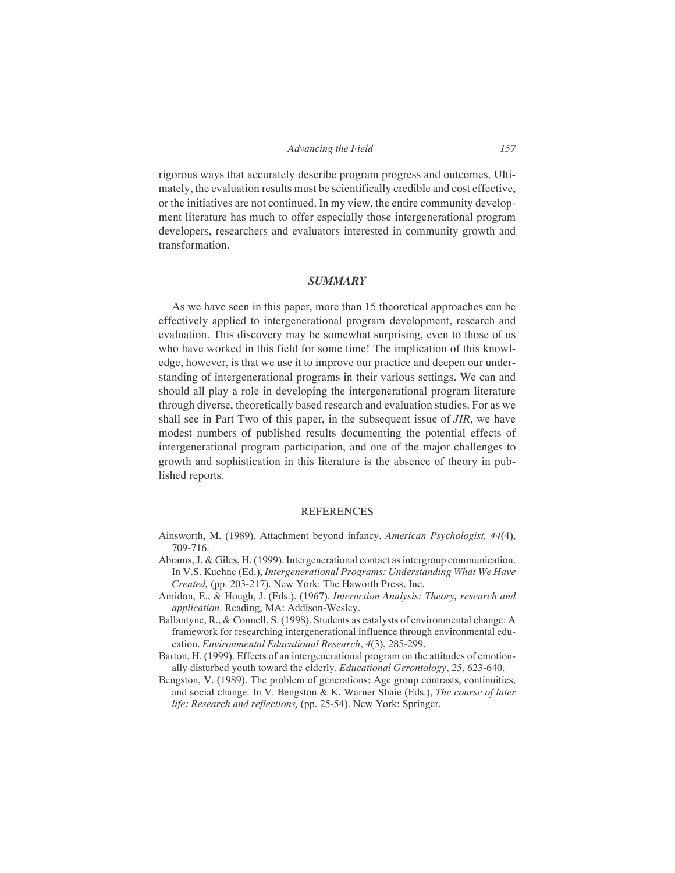rigorous ways that accurately describe program progress and outcomes. Ultimately, the evaluation results must be scientifically credible and cost effective, or the initiatives are not continued. In my view, the entire community development literature has much to offer especially those intergenerational program developers, researchers and evaluators interested in community growth and transformation.

# *SUMMARY*

As we have seen in this paper, more than 15 theoretical approaches can be effectively applied to intergenerational program development, research and evaluation. This discovery may be somewhat surprising, even to those of us who have worked in this field for some time! The implication of this knowledge, however, is that we use it to improve our practice and deepen our understanding of intergenerational programs in their various settings. We can and should all play a role in developing the intergenerational program literature through diverse, theoretically based research and evaluation studies. For as we shall see in Part Two of this paper, in the subsequent issue of *JIR*, we have modest numbers of published results documenting the potential effects of intergenerational program participation, and one of the major challenges to growth and sophistication in this literature is the absence of theory in published reports.

#### **REFERENCES**

- Ainsworth, M. (1989). Attachment beyond infancy. *American Psychologist, 44*(4), 709-716.
- Abrams, J. & Giles, H. (1999). Intergenerational contact as intergroup communication. In V.S. Kuehne (Ed.), *Intergenerational Programs: Understanding What We Have Created,* (pp. 203-217). New York: The Haworth Press, Inc.
- Amidon, E., & Hough, J. (Eds.). (1967). *Interaction Analysis: Theory, research and application*. Reading, MA: Addison-Wesley.
- Ballantyne, R., & Connell, S. (1998). Students as catalysts of environmental change: A framework for researching intergenerational influence through environmental education. *Environmental Educational Research*, *4*(3), 285-299.
- Barton, H. (1999). Effects of an intergenerational program on the attitudes of emotionally disturbed youth toward the elderly. *Educational Gerontology*, *25*, 623-640.
- Bengston, V. (1989). The problem of generations: Age group contrasts, continuities, and social change. In V. Bengston & K. Warner Shaie (Eds.), *The course of later life: Research and reflections,* (pp. 25-54). New York: Springer.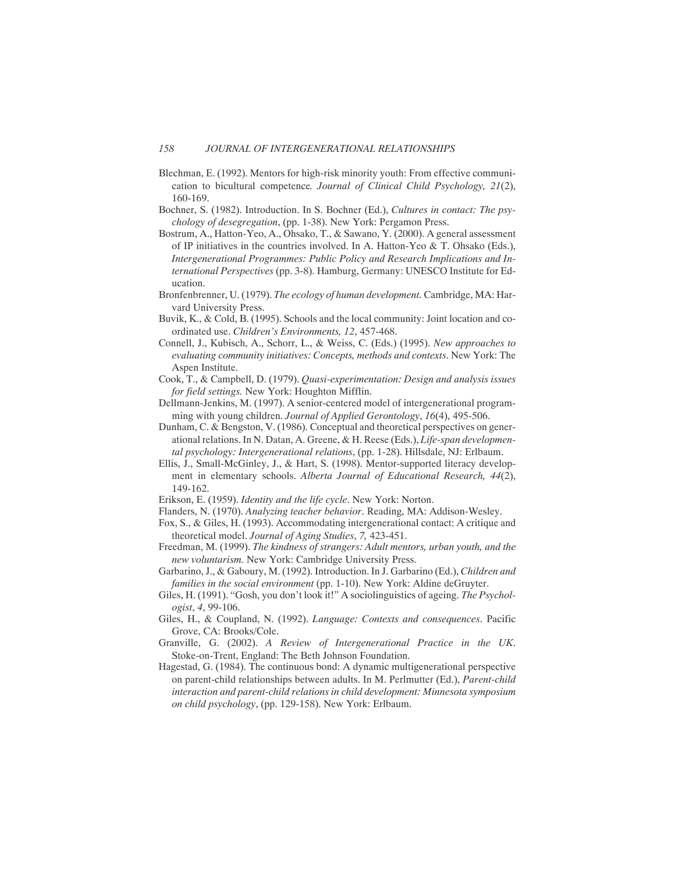- Blechman, E. (1992). Mentors for high-risk minority youth: From effective communication to bicultural competence*. Journal of Clinical Child Psychology, 21*(2), 160-169.
- Bochner, S. (1982). Introduction. In S. Bochner (Ed.), *Cultures in contact: The psychology of desegregation*, (pp. 1-38). New York: Pergamon Press.
- Bostrum, A., Hatton-Yeo, A., Ohsako, T., & Sawano, Y. (2000). A general assessment of IP initiatives in the countries involved. In A. Hatton-Yeo & T. Ohsako (Eds.), *Intergenerational Programmes: Public Policy and Research Implications and International Perspectives* (pp. 3-8). Hamburg, Germany: UNESCO Institute for Education.
- Bronfenbrenner, U. (1979). *The ecology of human development.* Cambridge, MA: Harvard University Press.
- Buvik, K., & Cold, B. (1995). Schools and the local community: Joint location and coordinated use. *Children's Environments, 12*, 457-468.
- Connell, J., Kubisch, A., Schorr, L., & Weiss, C. (Eds.) (1995). *New approaches to evaluating community initiatives: Concepts, methods and contexts*. New York: The Aspen Institute.
- Cook, T., & Campbell, D. (1979). *Quasi-experimentation: Design and analysis issues for field settings.* New York: Houghton Mifflin.
- Dellmann-Jenkins, M. (1997). A senior-centered model of intergenerational programming with young children. *Journal of Applied Gerontology*, *16*(4), 495-506.
- Dunham, C. & Bengston, V. (1986). Conceptual and theoretical perspectives on generational relations. In N. Datan, A. Greene, & H. Reese (Eds.), *Life-span developmental psychology: Intergenerational relations*, (pp. 1-28). Hillsdale, NJ: Erlbaum.
- Ellis, J., Small-McGinley, J., & Hart, S. (1998). Mentor-supported literacy development in elementary schools. *Alberta Journal of Educational Research, 44*(2), 149-162.
- Erikson, E. (1959). *Identity and the life cycle*. New York: Norton.
- Flanders, N. (1970). *Analyzing teacher behavior*. Reading, MA: Addison-Wesley.
- Fox, S., & Giles, H. (1993). Accommodating intergenerational contact: A critique and theoretical model. *Journal of Aging Studies*, *7,* 423-451.
- Freedman, M. (1999). *The kindness of strangers: Adult mentors, urban youth, and the new voluntarism.* New York: Cambridge University Press.
- Garbarino, J., & Gaboury, M. (1992). Introduction. In J. Garbarino (Ed.), *Children and families in the social environment* (pp. 1-10). New York: Aldine deGruyter.
- Giles, H. (1991). "Gosh, you don't look it!" A sociolinguistics of ageing. *The Psychologist*, *4*, 99-106.
- Giles, H., & Coupland, N. (1992). *Language: Contexts and consequences*. Pacific Grove, CA: Brooks/Cole.
- Granville, G. (2002). *A Review of Intergenerational Practice in the UK*. Stoke-on-Trent, England: The Beth Johnson Foundation.
- Hagestad, G. (1984). The continuous bond: A dynamic multigenerational perspective on parent-child relationships between adults. In M. Perlmutter (Ed.), *Parent-child interaction and parent-child relations in child development: Minnesota symposium on child psychology*, (pp. 129-158). New York: Erlbaum.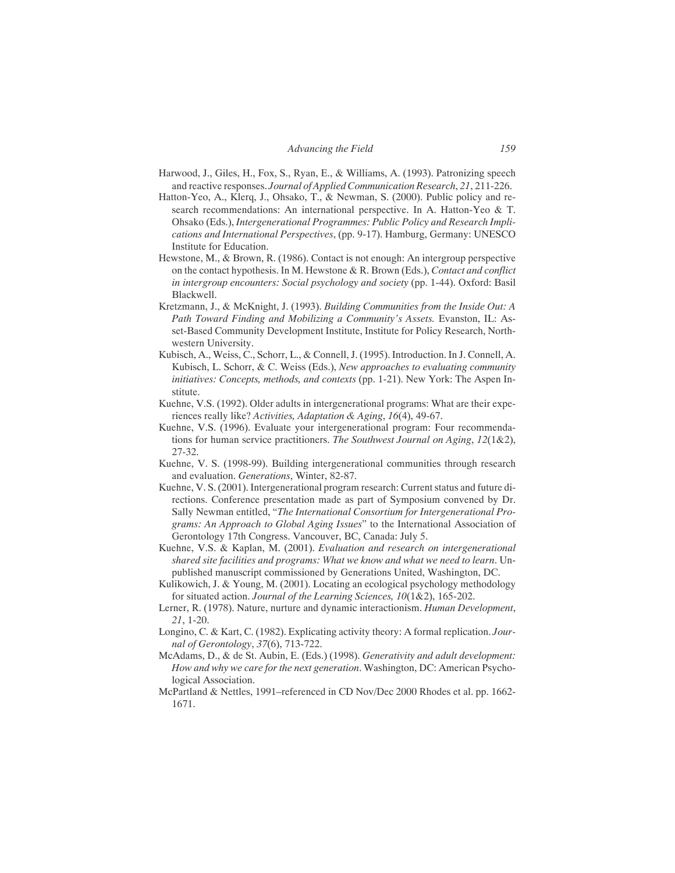- Harwood, J., Giles, H., Fox, S., Ryan, E., & Williams, A. (1993). Patronizing speech and reactive responses. *Journal of Applied Communication Research*, *21*, 211-226.
- Hatton-Yeo, A., Klerq, J., Ohsako, T., & Newman, S. (2000). Public policy and research recommendations: An international perspective. In A. Hatton-Yeo & T. Ohsako (Eds.), *Intergenerational Programmes: Public Policy and Research Implications and International Perspectives*, (pp. 9-17). Hamburg, Germany: UNESCO Institute for Education.
- Hewstone, M., & Brown, R. (1986). Contact is not enough: An intergroup perspective on the contact hypothesis. In M. Hewstone & R. Brown (Eds.), *Contact and conflict in intergroup encounters: Social psychology and society* (pp. 1-44). Oxford: Basil Blackwell.
- Kretzmann, J., & McKnight, J. (1993). *Building Communities from the Inside Out: A Path Toward Finding and Mobilizing a Community's Assets.* Evanston, IL: Asset-Based Community Development Institute, Institute for Policy Research, Northwestern University.
- Kubisch, A., Weiss, C., Schorr, L., & Connell, J. (1995). Introduction. In J. Connell, A. Kubisch, L. Schorr, & C. Weiss (Eds.), *New approaches to evaluating community initiatives: Concepts, methods, and contexts* (pp. 1-21). New York: The Aspen Institute.
- Kuehne, V.S. (1992). Older adults in intergenerational programs: What are their experiences really like? *Activities, Adaptation & Aging*, *16*(4), 49-67.
- Kuehne, V.S. (1996). Evaluate your intergenerational program: Four recommendations for human service practitioners. *The Southwest Journal on Aging*, *12*(1&2), 27-32.
- Kuehne, V. S. (1998-99). Building intergenerational communities through research and evaluation. *Generations*, Winter, 82-87.
- Kuehne, V. S. (2001). Intergenerational program research: Current status and future directions. Conference presentation made as part of Symposium convened by Dr. Sally Newman entitled, "*The International Consortium for Intergenerational Programs: An Approach to Global Aging Issues*" to the International Association of Gerontology 17th Congress. Vancouver, BC, Canada: July 5.
- Kuehne, V.S. & Kaplan, M. (2001). *Evaluation and research on intergenerational shared site facilities and programs: What we know and what we need to learn*. Unpublished manuscript commissioned by Generations United, Washington, DC.
- Kulikowich, J. & Young, M. (2001). Locating an ecological psychology methodology for situated action. *Journal of the Learning Sciences, 10*(1&2), 165-202.
- Lerner, R. (1978). Nature, nurture and dynamic interactionism. *Human Development*, *21*, 1-20.
- Longino, C. & Kart, C. (1982). Explicating activity theory: A formal replication. *Journal of Gerontology*, *37*(6), 713-722.
- McAdams, D., & de St. Aubin, E. (Eds.) (1998). *Generativity and adult development: How and why we care for the next generation*. Washington, DC: American Psychological Association.
- McPartland & Nettles, 1991–referenced in CD Nov/Dec 2000 Rhodes et al. pp. 1662- 1671.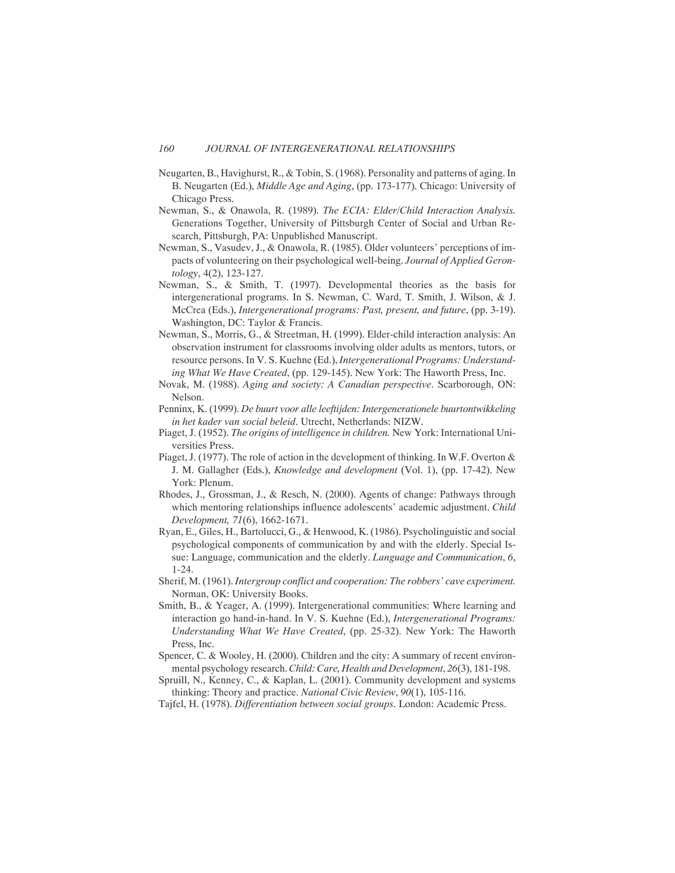- Neugarten, B., Havighurst, R., & Tobin, S. (1968). Personality and patterns of aging. In B. Neugarten (Ed.), *Middle Age and Aging*, (pp. 173-177). Chicago: University of Chicago Press.
- Newman, S., & Onawola, R. (1989). *The ECIA: Elder/Child Interaction Analysis.* Generations Together, University of Pittsburgh Center of Social and Urban Research, Pittsburgh, PA: Unpublished Manuscript.
- Newman, S., Vasudev, J., & Onawola, R. (1985). Older volunteers' perceptions of impacts of volunteering on their psychological well-being. *Journal of Applied Gerontology*, 4(2), 123-127.
- Newman, S., & Smith, T. (1997). Developmental theories as the basis for intergenerational programs. In S. Newman, C. Ward, T. Smith, J. Wilson, & J. McCrea (Eds.), *Intergenerational programs: Past, present, and future*, (pp. 3-19). Washington, DC: Taylor & Francis.
- Newman, S., Morris, G., & Streetman, H. (1999). Elder-child interaction analysis: An observation instrument for classrooms involving older adults as mentors, tutors, or resource persons. In V. S. Kuehne (Ed.), *Intergenerational Programs: Understanding What We Have Created*, (pp. 129-145). New York: The Haworth Press, Inc.
- Novak, M. (1988). *Aging and society: A Canadian perspective*. Scarborough, ON: Nelson.
- Penninx, K. (1999). *De buurt voor alle leeftijden: Intergenerationele buurtontwikkeling in het kader van social beleid*. Utrecht, Netherlands: NIZW.
- Piaget, J. (1952). *The origins of intelligence in children.* New York: International Universities Press.
- Piaget, J. (1977). The role of action in the development of thinking. In W.F. Overton & J. M. Gallagher (Eds.), *Knowledge and development* (Vol. 1), (pp. 17-42). New York: Plenum.
- Rhodes, J., Grossman, J., & Resch, N. (2000). Agents of change: Pathways through which mentoring relationships influence adolescents' academic adjustment. *Child Development, 71*(6), 1662-1671.
- Ryan, E., Giles, H., Bartolucci, G., & Henwood, K. (1986). Psycholinguistic and social psychological components of communication by and with the elderly. Special Issue: Language, communication and the elderly. *Language and Communication*, *6*, 1-24.
- Sherif, M. (1961). *Intergroup conflict and cooperation: The robbers' cave experiment.* Norman, OK: University Books.
- Smith, B., & Yeager, A. (1999). Intergenerational communities: Where learning and interaction go hand-in-hand. In V. S. Kuehne (Ed.), *Intergenerational Programs: Understanding What We Have Created*, (pp. 25-32). New York: The Haworth Press, Inc.
- Spencer, C. & Wooley, H. (2000). Children and the city: A summary of recent environmental psychology research.*Child: Care, Health and Development*, *26*(3), 181-198.
- Spruill, N., Kenney, C., & Kaplan, L. (2001). Community development and systems thinking: Theory and practice. *National Civic Review*, *90*(1), 105-116.
- Tajfel, H. (1978). *Differentiation between social groups*. London: Academic Press.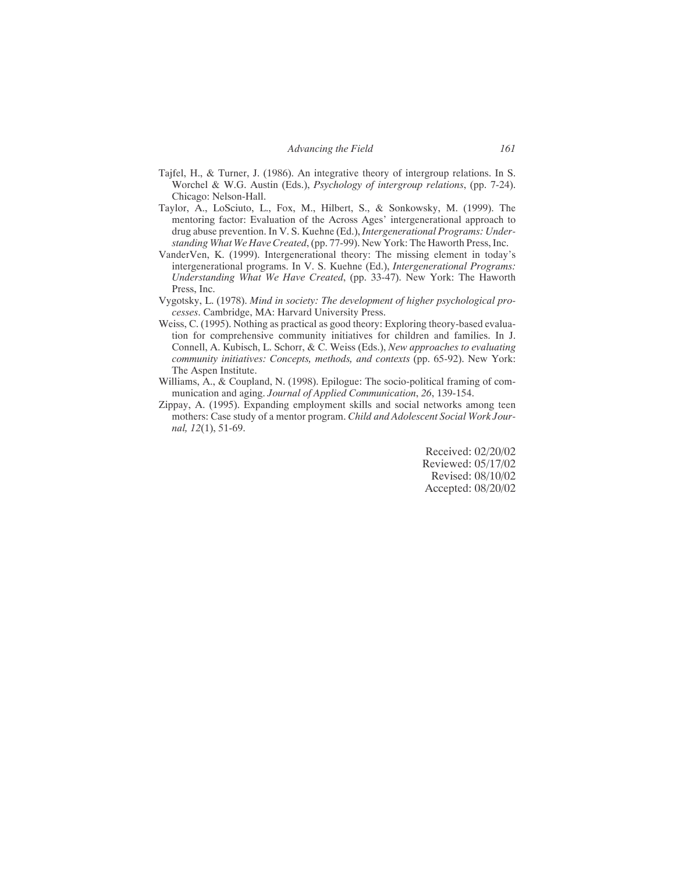- Tajfel, H., & Turner, J. (1986). An integrative theory of intergroup relations. In S. Worchel & W.G. Austin (Eds.), *Psychology of intergroup relations*, (pp. 7-24). Chicago: Nelson-Hall.
- Taylor, A., LoSciuto, L., Fox, M., Hilbert, S., & Sonkowsky, M. (1999). The mentoring factor: Evaluation of the Across Ages' intergenerational approach to drug abuse prevention. In V. S. Kuehne (Ed.), *Intergenerational Programs: Understanding What We Have Created*, (pp. 77-99). New York: The Haworth Press, Inc.
- VanderVen, K. (1999). Intergenerational theory: The missing element in today's intergenerational programs. In V. S. Kuehne (Ed.), *Intergenerational Programs: Understanding What We Have Created*, (pp. 33-47). New York: The Haworth Press, Inc.
- Vygotsky, L. (1978). *Mind in society: The development of higher psychological processes*. Cambridge, MA: Harvard University Press.
- Weiss, C. (1995). Nothing as practical as good theory: Exploring theory-based evaluation for comprehensive community initiatives for children and families. In J. Connell, A. Kubisch, L. Schorr, & C. Weiss (Eds.), *New approaches to evaluating community initiatives: Concepts, methods, and contexts* (pp. 65-92). New York: The Aspen Institute.
- Williams, A., & Coupland, N. (1998). Epilogue: The socio-political framing of communication and aging. *Journal of Applied Communication*, *26*, 139-154.
- Zippay, A. (1995). Expanding employment skills and social networks among teen mothers: Case study of a mentor program. *Child and Adolescent Social Work Journal, 12*(1), 51-69.

Received: 02/20/02 Reviewed: 05/17/02 Revised: 08/10/02 Accepted: 08/20/02